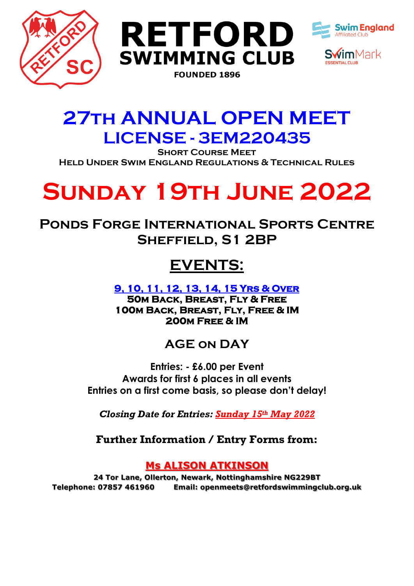





## **27th ANNUAL OPEN MEET LICENSE - 3EM220435**

**Short Course Meet Held Under Swim England Regulations & Technical Rules**

# **Sunday 19th June 2022**

**Ponds Forge International Sports Centre Sheffield, S1 2BP**

## **EVENTS:**

**9, 10, 11, 12, 13, 14, 15 Yrs & Over 50m Back, Breast, Fly & Free 100m Back, Breast, Fly, Free & IM 200m Free & IM** 

## **AGE on DAY**

**Entries: - £6.00 per Event Awards for first 6 places in all events Entries on a first come basis, so please don't delay!**

*Closing Date for Entries: Sunday 15th May 2022*

**Further Information / Entry Forms from:**

## **Ms ALISON ATKINSON**

**24 Tor Lane, Ollerton, Newark, Nottinghamshire NG229BT Telephone: 07857 461960 Email: openmeets@retfordswimmingclub.org.uk**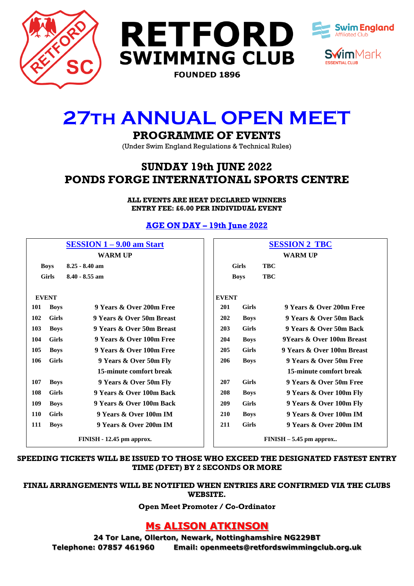





## **27th ANNUAL OPEN MEET**

## **PROGRAMME OF EVENTS**

(Under Swim England Regulations & Technical Rules)

## **SUNDAY 19th JUNE 2022 PONDS FORGE INTERNATIONAL SPORTS CENTRE**

**ALL EVENTS ARE HEAT DECLARED WINNERS ENTRY FEE: £6.00 PER INDIVIDUAL EVENT**

### **AGE ON DAY – 19th June 2022**

|              |              | $SESSION 1 - 9.00$ am Start | <b>SESSION 2 TBC</b> |              |            |                            |  |  |  |  |
|--------------|--------------|-----------------------------|----------------------|--------------|------------|----------------------------|--|--|--|--|
|              |              | <b>WARM UP</b>              |                      |              |            | <b>WARM UP</b>             |  |  |  |  |
| <b>Boys</b>  |              | $8.25 - 8.40$ am            |                      | <b>Girls</b> | <b>TBC</b> |                            |  |  |  |  |
| <b>Girls</b> |              | $8.40 - 8.55$ am            | <b>Boys</b>          |              | <b>TBC</b> |                            |  |  |  |  |
|              |              |                             |                      |              |            |                            |  |  |  |  |
|              | <b>EVENT</b> |                             | <b>EVENT</b>         |              |            |                            |  |  |  |  |
| 101          | <b>Boys</b>  | 9 Years & Over 200m Free    | 201                  | <b>Girls</b> |            | 9 Years & Over 200m Free   |  |  |  |  |
| 102          | <b>Girls</b> | 9 Years & Over 50m Breast   | 202                  | <b>Boys</b>  |            | 9 Years & Over 50m Back    |  |  |  |  |
| 103          | <b>Boys</b>  | 9 Years & Over 50m Breast   | 203                  | <b>Girls</b> |            | 9 Years & Over 50m Back    |  |  |  |  |
| 104          | <b>Girls</b> | 9 Years & Over 100m Free    | 204                  | <b>Boys</b>  |            | 9Years & Over 100m Breast  |  |  |  |  |
| 105          | <b>Boys</b>  | 9 Years & Over 100m Free    | 205                  | <b>Girls</b> |            | 9 Years & Over 100m Breast |  |  |  |  |
| 106          | <b>Girls</b> | 9 Years & Over 50m Fly      | 206                  | <b>Boys</b>  |            | 9 Years & Over 50m Free    |  |  |  |  |
|              |              | 15-minute comfort break     |                      |              |            | 15-minute comfort break    |  |  |  |  |
| 107          | <b>Boys</b>  | 9 Years & Over 50m Fly      | 207                  | <b>Girls</b> |            | 9 Years & Over 50m Free    |  |  |  |  |
| 108          | <b>Girls</b> | 9 Years & Over 100m Back    | 208                  | <b>Boys</b>  |            | 9 Years & Over 100m Fly    |  |  |  |  |
| 109          | <b>Boys</b>  | 9 Years & Over 100m Back    | 209                  | <b>Girls</b> |            | 9 Years & Over 100m Fly    |  |  |  |  |
| 110          | <b>Girls</b> | 9 Years & Over 100m IM      | <b>210</b>           | <b>Boys</b>  |            | 9 Years & Over 100m IM     |  |  |  |  |
| 111          | <b>Boys</b>  | 9 Years & Over 200m IM      | 211                  | <b>Girls</b> |            | 9 Years & Over 200m IM     |  |  |  |  |
|              |              | FINISH - 12.45 pm approx.   |                      |              |            | $FINISH - 5.45$ pm approx  |  |  |  |  |

#### **SPEEDING TICKETS WILL BE ISSUED TO THOSE WHO EXCEED THE DESIGNATED FASTEST ENTRY TIME (DFET) BY 2 SECONDS OR MORE**

#### **FINAL ARRANGEMENTS WILL BE NOTIFIED WHEN ENTRIES ARE CONFIRMED VIA THE CLUBS WEBSITE.**

**Open Meet Promoter / Co-Ordinator**

## **Ms ALISON ATKINSON**

**24 Tor Lane, Ollerton, Newark, Nottinghamshire NG229BT Telephone: 07857 461960 Email: openmeets@retfordswimmingclub.org.uk**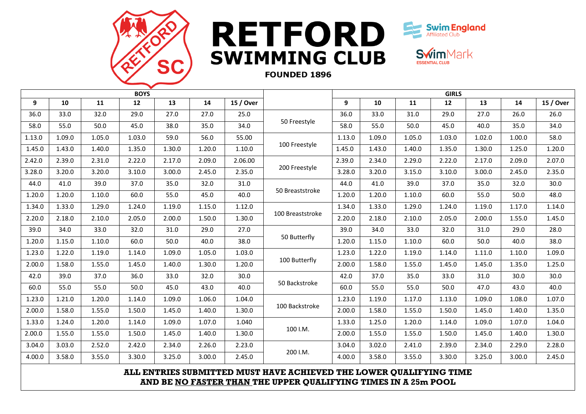

# RETFORD<sup>Swim</sup>England **SWIMMING CLUB**



**Swim**Mark

### **FOUNDED 1896**

| <b>BOYS</b> |        |        |        |        |        |           | <b>GIRLS</b>     |        |        |        |        |        |        |           |
|-------------|--------|--------|--------|--------|--------|-----------|------------------|--------|--------|--------|--------|--------|--------|-----------|
| 9           | 10     | 11     | 12     | 13     | 14     | 15 / Over |                  | 9      | 10     | 11     | 12     | 13     | 14     | 15 / Over |
| 36.0        | 33.0   | 32.0   | 29.0   | 27.0   | 27.0   | 25.0      |                  | 36.0   | 33.0   | 31.0   | 29.0   | 27.0   | 26.0   | 26.0      |
| 58.0        | 55.0   | 50.0   | 45.0   | 38.0   | 35.0   | 34.0      | 50 Freestyle     | 58.0   | 55.0   | 50.0   | 45.0   | 40.0   | 35.0   | 34.0      |
| 1.13.0      | 1.09.0 | 1.05.0 | 1.03.0 | 59.0   | 56.0   | 55.00     |                  | 1.13.0 | 1.09.0 | 1.05.0 | 1.03.0 | 1.02.0 | 1.00.0 | 58.0      |
| 1.45.0      | 1.43.0 | 1.40.0 | 1.35.0 | 1.30.0 | 1.20.0 | 1.10.0    | 100 Freestyle    | 1.45.0 | 1.43.0 | 1.40.0 | 1.35.0 | 1.30.0 | 1.25.0 | 1.20.0    |
| 2.42.0      | 2.39.0 | 2.31.0 | 2.22.0 | 2.17.0 | 2.09.0 | 2.06.00   |                  | 2.39.0 | 2.34.0 | 2.29.0 | 2.22.0 | 2.17.0 | 2.09.0 | 2.07.0    |
| 3.28.0      | 3.20.0 | 3.20.0 | 3.10.0 | 3.00.0 | 2.45.0 | 2.35.0    | 200 Freestyle    | 3.28.0 | 3.20.0 | 3.15.0 | 3.10.0 | 3.00.0 | 2.45.0 | 2.35.0    |
| 44.0        | 41.0   | 39.0   | 37.0   | 35.0   | 32.0   | 31.0      |                  | 44.0   | 41.0   | 39.0   | 37.0   | 35.0   | 32.0   | 30.0      |
| 1.20.0      | 1.20.0 | 1.10.0 | 60.0   | 55.0   | 45.0   | 40.0      | 50 Breaststroke  | 1.20.0 | 1.20.0 | 1.10.0 | 60.0   | 55.0   | 50.0   | 48.0      |
| 1.34.0      | 1.33.0 | 1.29.0 | 1.24.0 | 1.19.0 | 1.15.0 | 1.12.0    |                  | 1.34.0 | 1.33.0 | 1.29.0 | 1.24.0 | 1.19.0 | 1.17.0 | 1.14.0    |
| 2.20.0      | 2.18.0 | 2.10.0 | 2.05.0 | 2.00.0 | 1.50.0 | 1.30.0    | 100 Breaststroke | 2.20.0 | 2.18.0 | 2.10.0 | 2.05.0 | 2.00.0 | 1.55.0 | 1.45.0    |
| 39.0        | 34.0   | 33.0   | 32.0   | 31.0   | 29.0   | 27.0      |                  | 39.0   | 34.0   | 33.0   | 32.0   | 31.0   | 29.0   | 28.0      |
| 1.20.0      | 1.15.0 | 1.10.0 | 60.0   | 50.0   | 40.0   | 38.0      | 50 Butterfly     | 1.20.0 | 1.15.0 | 1.10.0 | 60.0   | 50.0   | 40.0   | 38.0      |
| 1.23.0      | 1.22.0 | 1.19.0 | 1.14.0 | 1.09.0 | 1.05.0 | 1.03.0    |                  | 1.23.0 | 1.22.0 | 1.19.0 | 1.14.0 | 1.11.0 | 1.10.0 | 1.09.0    |
| 2.00.0      | 1.58.0 | 1.55.0 | 1.45.0 | 1.40.0 | 1.30.0 | 1.20.0    | 100 Butterfly    | 2.00.0 | 1.58.0 | 1.55.0 | 1.45.0 | 1.45.0 | 1.35.0 | 1.25.0    |
| 42.0        | 39.0   | 37.0   | 36.0   | 33.0   | 32.0   | 30.0      |                  | 42.0   | 37.0   | 35.0   | 33.0   | 31.0   | 30.0   | 30.0      |
| 60.0        | 55.0   | 55.0   | 50.0   | 45.0   | 43.0   | 40.0      | 50 Backstroke    | 60.0   | 55.0   | 55.0   | 50.0   | 47.0   | 43.0   | 40.0      |
| 1.23.0      | 1.21.0 | 1.20.0 | 1.14.0 | 1.09.0 | 1.06.0 | 1.04.0    |                  | 1.23.0 | 1.19.0 | 1.17.0 | 1.13.0 | 1.09.0 | 1.08.0 | 1.07.0    |
| 2.00.0      | 1.58.0 | 1.55.0 | 1.50.0 | 1.45.0 | 1.40.0 | 1.30.0    | 100 Backstroke   | 2.00.0 | 1.58.0 | 1.55.0 | 1.50.0 | 1.45.0 | 1.40.0 | 1.35.0    |
| 1.33.0      | 1.24.0 | 1.20.0 | 1.14.0 | 1.09.0 | 1.07.0 | 1.040     |                  | 1.33.0 | 1.25.0 | 1.20.0 | 1.14.0 | 1.09.0 | 1.07.0 | 1.04.0    |
| 2.00.0      | 1.55.0 | 1.55.0 | 1.50.0 | 1.45.0 | 1.40.0 | 1.30.0    | 100 I.M.         | 2.00.0 | 1.55.0 | 1.55.0 | 1.50.0 | 1.45.0 | 1.40.0 | 1.30.0    |
| 3.04.0      | 3.03.0 | 2.52.0 | 2.42.0 | 2.34.0 | 2.26.0 | 2.23.0    |                  | 3.04.0 | 3.02.0 | 2.41.0 | 2.39.0 | 2.34.0 | 2.29.0 | 2.28.0    |
| 4.00.0      | 3.58.0 | 3.55.0 | 3.30.0 | 3.25.0 | 3.00.0 | 2.45.0    | 200 I.M.         | 4.00.0 | 3.58.0 | 3.55.0 | 3.30.0 | 3.25.0 | 3.00.0 | 2.45.0    |

**ALL ENTRIES SUBMITTED MUST HAVE ACHIEVED THE LOWER QUALIFYING TIME AND BE NO FASTER THAN THE UPPER QUALIFYING TIMES IN A 25m POOL**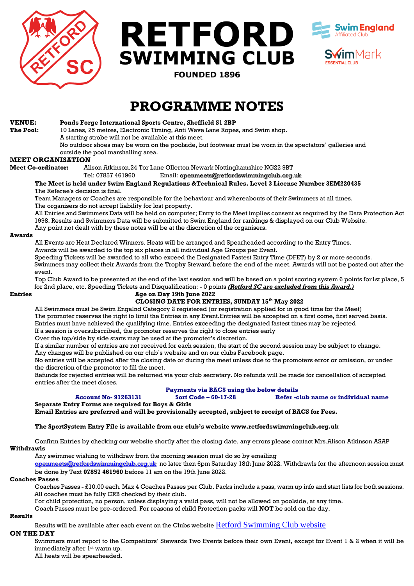





**FOUNDED 1896** 

## **PROGRAMME NOTES**

#### **VENUE: Ponds Forge International Sports Centre, Sheffield S1 2BP**

**The Pool:** 10 Lanes, 25 metres, Electronic Timing, Anti Wave Lane Ropes, and Swim shop. A starting strobe will not be available at this meet.

No outdoor shoes may be worn on the poolside, but footwear must be worn in the spectators' galleries and outside the pool marshalling area.

#### **MEET ORGANISATION**

**Meet Co-ordinator:** Alison Atkinson.24 Tor Lane Ollerton Newark Nottinghamshire NG22 9BT

Tel: 07857 461960 Email: openmeets@retfordswimmingclub.org.uk

**The Meet is held under Swim England Regulations &Technical Rules. Level 3 License Number 3EM220435** The Referee's decision is final.

Team Managers or Coaches are responsible for the behaviour and whereabouts of their Swimmers at all times. The organisers do not accept liability for lost property.

All Entries and Swimmers Data will be held on computer; Entry to the Meet implies consent as required by the Data Protection Act 1998. Results and Swimmers Data will be submitted to Swim England for rankings & displayed on our Club Website.

Any point not dealt with by these notes will be at the discretion of the organisers.

#### **Awards**

All Events are Heat Declared Winners. Heats will be arranged and Spearheaded according to the Entry Times. Awards will be awarded to the top six places in all individual Age Groups per Event.

Speeding Tickets will be awarded to all who exceed the Designated Fastest Entry Time (DFET) by 2 or more seconds. Swimmers may collect their Awards from the Trophy Steward before the end of the meet. Awards will not be posted out after the event.

Top Club Award to be presented at the end of the last session and will be based on a point scoring system 6 points for1st place, 5 for 2nd place, etc. Speeding Tickets and Disqualification: - 0 points *(Retford SC are excluded from this Award.)*

#### **Entries Age on Day 19th June 2022**

#### **CLOSING DATE FOR ENTRIES, SUNDAY 15th May 2022**

All Swimmers must be Swim Engalnd Category 2 registered (or registration applied for in good time for the Meet) The promoter reserves the right to limit the Entries in any Event.Entries will be accepted on a first come, first served basis. Entries must have achieved the qualifying time. Entries exceeding the designated fastest times may be rejected If a session is oversubscribed, the promoter reserves the right to close entries early

Over the top/side by side starts may be used at the promoter's discretion.

If a similar number of entries are not received for each session, the start of the second session may be subject to change. Any changes will be published on our club's website and on our clubs Facebook page.

No entries will be accepted after the closing date or during the meet unless due to the promoters error or omission, or under the discretion of the promotor to fill the meet.

Refunds for rejected entries will be returned via your club secretary. No refunds will be made for cancellation of accepted entries after the meet closes.

#### **Payments via BACS using the below details Account No- 91263131 Sort Code – 60-17-28 Refer -club name or individual name**

**Separate Entry Forms are required for Boys & Girls**

**Email Entries are preferred and will be provisionally accepted, subject to receipt of BACS for Fees.**

#### **The SportSystem Entry File is available from our club's website www.retfordswimmingclub.org.uk**

Confirm Entries by checking our website shortly after the closing date, any errors please contact Mrs.Alison Atkinson ASAP **Withdrawls**

Any swimmer wishing to withdraw from the morning session must do so by emailing

[openmeets@retfordswimmingclub.org.uk](mailto:openmeets@retfordswimmingclub.org.uk) no later then 6pm Saturday 18th June 2022. Withdrawls for the afternoon session must be done by Text **07857 461960** before 11 am on the 19th June 2022.

#### **Coaches Passes**

Coaches Passes - £10.00 each. Max 4 Coaches Passes per Club. Packs include a pass, warm up info and start lists for both sessions. All coaches must be fully CRB checked by their club.

For child protection, no person, unless displaying a vaild pass, will not be allowed on poolside, at any time.

Coach Passes must be pre-ordered. For reasons of child Protection packs will **NOT** be sold on the day.

#### **Results**

Results will be available after each event on the Clubs website [Retford Swimming Club website](https://www.retfordswimmingclub.org.uk/)

#### **ON THE DAY**

Swimmers must report to the Competitors' Stewards Two Events before their own Event, except for Event 1 & 2 when it will be immediately after 1<sup>st</sup> warm up.

All heats will be spearheaded.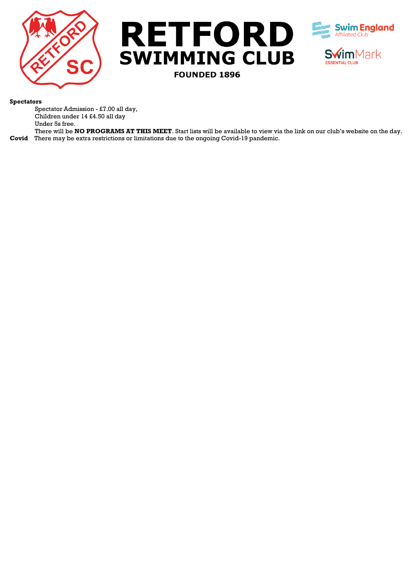





#### **Spectators**

Spectator Admission - £7.00 all day, Children under 14 £4.50 all day Under 5s free.

There will be **NO PROGRAMS AT THIS MEET**. Start lists will be available to view via the link on our club's website on the day. **Covid** There may be extra restrictions or limitations due to the ongoing Covid-19 pandemic.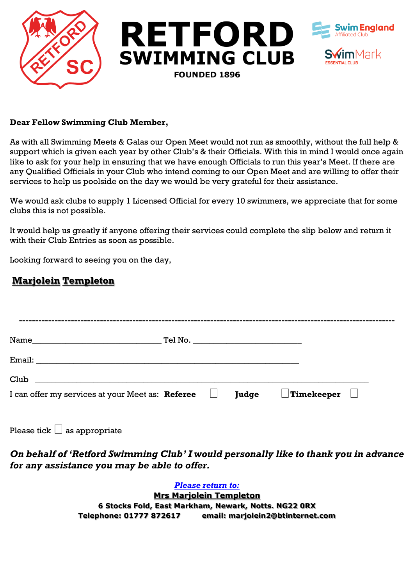

#### **Dear Fellow Swimming Club Member,**

As with all Swimming Meets & Galas our Open Meet would not run as smoothly, without the full help & support which is given each year by other Club's & their Officials. With this in mind I would once again like to ask for your help in ensuring that we have enough Officials to run this year's Meet. If there are any Qualified Officials in your Club who intend coming to our Open Meet and are willing to offer their services to help us poolside on the day we would be very grateful for their assistance.

We would ask clubs to supply 1 Licensed Official for every 10 swimmers, we appreciate that for some clubs this is not possible.

It would help us greatly if anyone offering their services could complete the slip below and return it with their Club Entries as soon as possible.

Looking forward to seeing you on the day,

### **Marjolein Templeton**

| Club                                             |  |              |                                |  |
|--------------------------------------------------|--|--------------|--------------------------------|--|
| I can offer my services at your Meet as: Referee |  | <b>Judge</b> | $\Box$ Timekeeper $\quad \Box$ |  |

Please tick  $\Box$  as appropriate

*On behalf of 'Retford Swimming Club' I would personally like to thank you in advance for any assistance you may be able to offer.*

> *Please return to:* **Mrs Marjolein Templeton 6 Stocks Fold, East Markham, Newark, Notts. NG22 0RX Telephone: 01777 872617 email: marjolein2@btinternet.com**